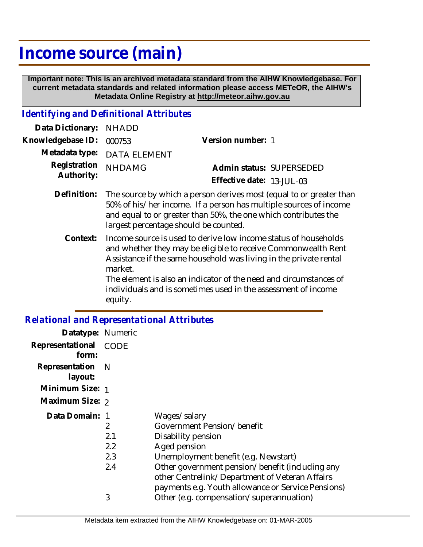## **Income source (main)**

 **Important note: This is an archived metadata standard from the AIHW Knowledgebase. For current metadata standards and related information please access METeOR, the AIHW's Metadata Online Registry at http://meteor.aihw.gov.au**

## *Identifying and Definitional Attributes*

| Data Dictionary: NHADD            |                             |                              |                          |
|-----------------------------------|-----------------------------|------------------------------|--------------------------|
| Knowledgebase ID: 000753          |                             | Version number: 1            |                          |
|                                   | Metadata type: DATA ELEMENT |                              |                          |
| Registration NHDAMG<br>Authority: |                             |                              | Admin status: SUPERSEDED |
|                                   |                             | Effective date: $13$ -JUL-03 |                          |
|                                   |                             |                              |                          |

- Definition: The source by which a person derives most (equal to or greater than 50% of his/her income. If a person has multiple sources of income and equal to or greater than 50%, the one which contributes the largest percentage should be counted.
	- Income source is used to derive low income status of households and whether they may be eligible to receive Commonwealth Rent Assistance if the same household was living in the private rental market. **Context:**

The element is also an indicator of the need and circumstances of individuals and is sometimes used in the assessment of income equity.

## *Relational and Representational Attributes*

| Datatype: Numeric         |                               |                                                                                                                                                                                                                                                                                     |
|---------------------------|-------------------------------|-------------------------------------------------------------------------------------------------------------------------------------------------------------------------------------------------------------------------------------------------------------------------------------|
| Representational<br>form: | CODE                          |                                                                                                                                                                                                                                                                                     |
| Representation<br>layout: | - N                           |                                                                                                                                                                                                                                                                                     |
| Minimum Size: 1           |                               |                                                                                                                                                                                                                                                                                     |
| Maximum Size: 2           |                               |                                                                                                                                                                                                                                                                                     |
| Data Domain: 1            | 2<br>2.1<br>2.2<br>2.3<br>2.4 | Wages/salary<br>Government Pension/benefit<br>Disability pension<br>Aged pension<br>Unemployment benefit (e.g. Newstart)<br>Other government pension/benefit (including any<br>other Centrelink/Department of Veteran Affairs<br>payments e.g. Youth allowance or Service Pensions) |
|                           | 3                             | Other (e.g. compensation/superannuation)                                                                                                                                                                                                                                            |